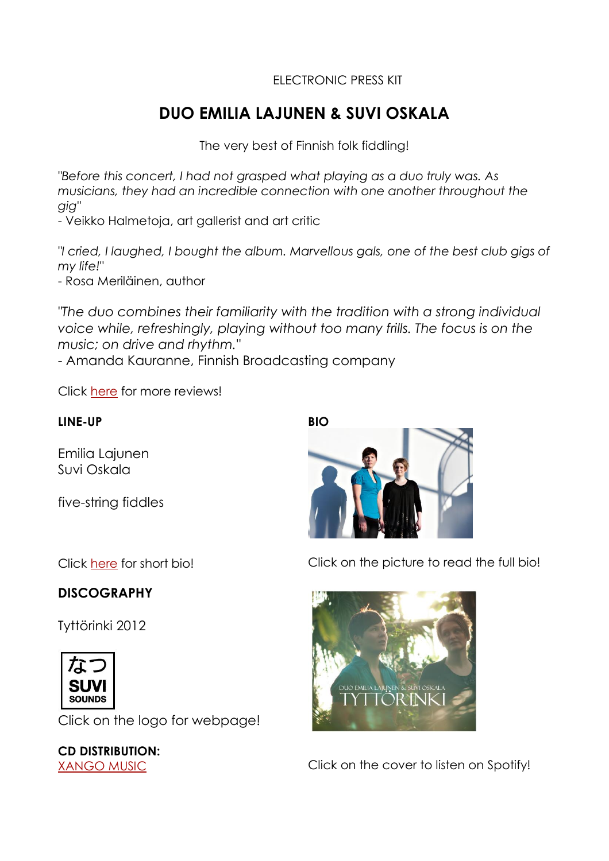## ELECTRONIC PRESS KIT

# **DUO EMILIA LAJUNEN & SUVI OSKALA**

The very best of Finnish folk fiddling!

*"Before this concert, I had not grasped what playing as a duo truly was. As musicians, they had an incredible connection with one another throughout the gig"*

- Veikko Halmetoja, art gallerist and art critic

*"I cried, I laughed, I bought the album. Marvellous gals, one of the best club gigs of my life!"*

- Rosa Meriläinen, author

*"The duo combines their familiarity with the tradition with a strong individual voice while, refreshingly, playing without too many frills. The focus is on the music; on drive and rhythm."*

- Amanda Kauranne, Finnish Broadcasting company

Click [here](https://dl.dropboxusercontent.com/u/7770852/duoemiliasuvi_reviewsquotes.pdf) for more reviews!

#### **LINE-UP**

Emilia Lajunen Suvi Oskala

five-string fiddles



Click on the picture to read the full bio!



[XANGO MUSIC](http://www.xmd.nl/) Click on the cover to listen on Spotify!

Click [here](https://dl.dropboxusercontent.com/u/7770852/duoemiliasuvi_shortbio_en.pdf) for short bio!

## **DISCOGRAPHY**

Tyttörinki 2012



Click on the logo for webpage!

**CD DISTRIBUTION:**